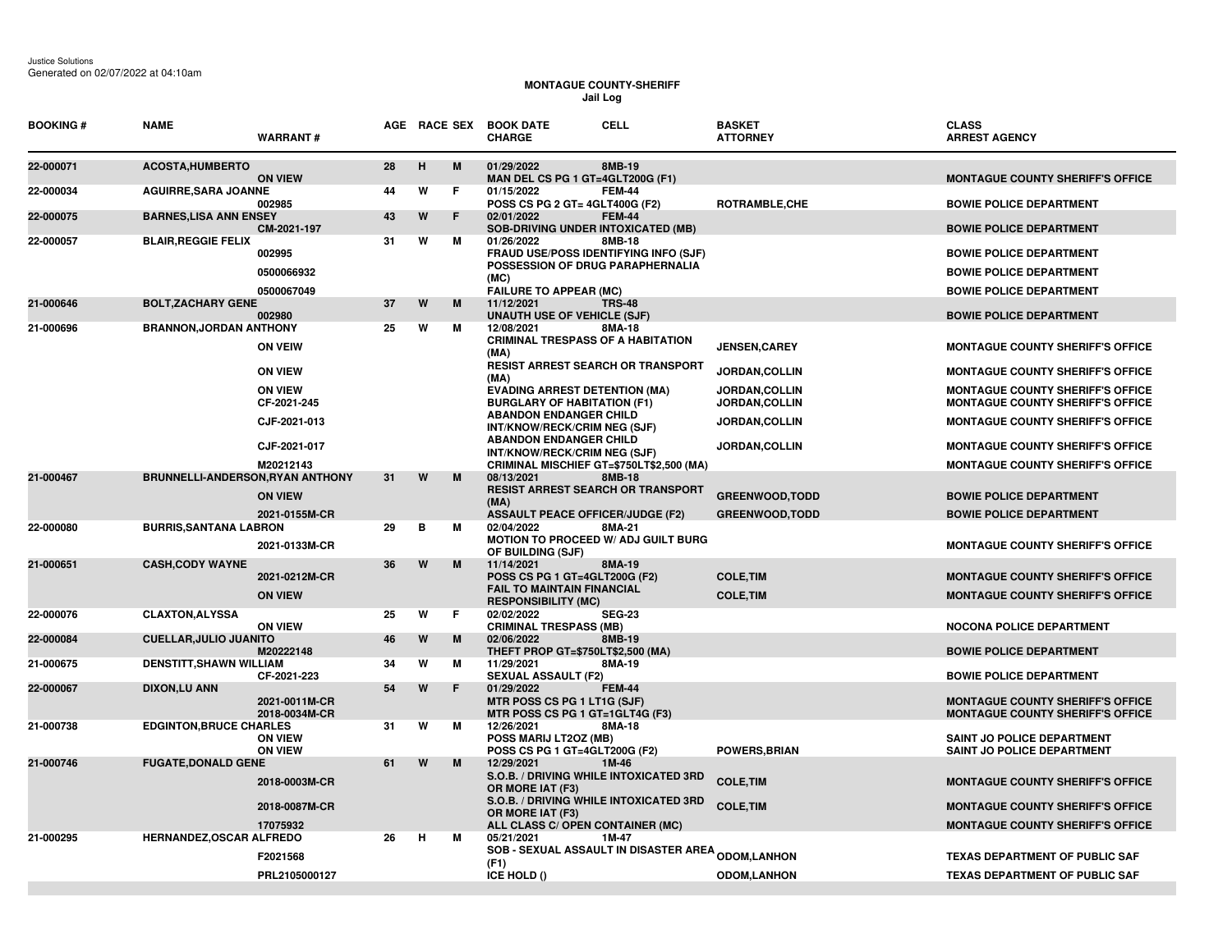Justice Solutions Generated on 02/07/2022 at 04:10am

## **MONTAGUE COUNTY-SHERIFF Jail Log**

| <b>BOOKING#</b> | <b>NAME</b>                      | <b>WARRANT#</b>                  |    |   | AGE RACE SEX | <b>CELL</b><br><b>BOOK DATE</b><br><b>CHARGE</b>                                              | <b>BASKET</b><br><b>ATTORNEY</b>        | <b>CLASS</b><br><b>ARREST AGENCY</b>                                               |
|-----------------|----------------------------------|----------------------------------|----|---|--------------|-----------------------------------------------------------------------------------------------|-----------------------------------------|------------------------------------------------------------------------------------|
| 22-000071       | <b>ACOSTA, HUMBERTO</b>          | <b>ON VIEW</b>                   | 28 | H | M            | 01/29/2022<br>8MB-19<br>MAN DEL CS PG 1 GT=4GLT200G (F1)                                      |                                         | <b>MONTAGUE COUNTY SHERIFF'S OFFICE</b>                                            |
| 22-000034       | <b>AGUIRRE, SARA JOANNE</b>      | 002985                           | 44 | W | F            | 01/15/2022<br><b>FEM-44</b><br>POSS CS PG 2 GT= 4GLT400G (F2)                                 | ROTRAMBLE, CHE                          | <b>BOWIE POLICE DEPARTMENT</b>                                                     |
| 22-000075       | <b>BARNES, LISA ANN ENSEY</b>    | CM-2021-197                      | 43 | W | F            | 02/01/2022<br><b>FEM-44</b><br><b>SOB-DRIVING UNDER INTOXICATED (MB)</b>                      |                                         | <b>BOWIE POLICE DEPARTMENT</b>                                                     |
| 22-000057       | <b>BLAIR, REGGIE FELIX</b>       | 002995                           | 31 | W | M            | 01/26/2022<br>8MB-18<br>FRAUD USE/POSS IDENTIFYING INFO (SJF)                                 |                                         | <b>BOWIE POLICE DEPARTMENT</b>                                                     |
|                 |                                  | 0500066932                       |    |   |              | POSSESSION OF DRUG PARAPHERNALIA<br>(MC)                                                      |                                         | <b>BOWIE POLICE DEPARTMENT</b>                                                     |
| 21-000646       | <b>BOLT, ZACHARY GENE</b>        | 0500067049                       | 37 | W | M            | <b>FAILURE TO APPEAR (MC)</b><br>11/12/2021<br><b>TRS-48</b>                                  |                                         | <b>BOWIE POLICE DEPARTMENT</b>                                                     |
|                 |                                  | 002980                           |    |   |              | <b>UNAUTH USE OF VEHICLE (SJF)</b>                                                            |                                         | <b>BOWIE POLICE DEPARTMENT</b>                                                     |
| 21-000696       | <b>BRANNON, JORDAN ANTHONY</b>   |                                  | 25 | W | M            | 8MA-18<br>12/08/2021                                                                          |                                         |                                                                                    |
|                 |                                  | <b>ON VEIW</b>                   |    |   |              | <b>CRIMINAL TRESPASS OF A HABITATION</b><br>(MA)                                              | <b>JENSEN, CAREY</b>                    | <b>MONTAGUE COUNTY SHERIFF'S OFFICE</b>                                            |
|                 |                                  | <b>ON VIEW</b>                   |    |   |              | <b>RESIST ARREST SEARCH OR TRANSPORT</b><br>(MA)                                              | JORDAN, COLLIN                          | <b>MONTAGUE COUNTY SHERIFF'S OFFICE</b>                                            |
|                 |                                  | <b>ON VIEW</b><br>CF-2021-245    |    |   |              | <b>EVADING ARREST DETENTION (MA)</b><br><b>BURGLARY OF HABITATION (F1)</b>                    | <b>JORDAN, COLLIN</b><br>JORDAN, COLLIN | <b>MONTAGUE COUNTY SHERIFF'S OFFICE</b><br><b>MONTAGUE COUNTY SHERIFF'S OFFICE</b> |
|                 |                                  | CJF-2021-013                     |    |   |              | <b>ABANDON ENDANGER CHILD</b><br>INT/KNOW/RECK/CRIM NEG (SJF)                                 | JORDAN, COLLIN                          | <b>MONTAGUE COUNTY SHERIFF'S OFFICE</b>                                            |
|                 |                                  | CJF-2021-017                     |    |   |              | <b>ABANDON ENDANGER CHILD</b><br>INT/KNOW/RECK/CRIM NEG (SJF)                                 | JORDAN, COLLIN                          | <b>MONTAGUE COUNTY SHERIFF'S OFFICE</b>                                            |
|                 |                                  | M20212143                        |    |   |              | CRIMINAL MISCHIEF GT=\$750LT\$2,500 (MA)                                                      |                                         | <b>MONTAGUE COUNTY SHERIFF'S OFFICE</b>                                            |
| 21-000467       | BRUNNELLI-ANDERSON, RYAN ANTHONY |                                  | 31 | W | M            | 08/13/2021<br><b>8MB-18</b>                                                                   |                                         |                                                                                    |
|                 |                                  | <b>ON VIEW</b>                   |    |   |              | <b>RESIST ARREST SEARCH OR TRANSPORT</b><br>(MA)                                              | <b>GREENWOOD.TODD</b>                   | <b>BOWIE POLICE DEPARTMENT</b>                                                     |
|                 |                                  | 2021-0155M-CR                    |    |   |              | <b>ASSAULT PEACE OFFICER/JUDGE (F2)</b>                                                       | <b>GREENWOOD,TODD</b>                   | <b>BOWIE POLICE DEPARTMENT</b>                                                     |
| 22-000080       | <b>BURRIS, SANTANA LABRON</b>    | 2021-0133M-CR                    | 29 | в | м            | 02/04/2022<br>8MA-21<br>MOTION TO PROCEED W/ ADJ GUILT BURG<br>OF BUILDING (SJF)              |                                         | <b>MONTAGUE COUNTY SHERIFF'S OFFICE</b>                                            |
| 21-000651       | <b>CASH, CODY WAYNE</b>          |                                  | 36 | W | M            | 11/14/2021<br>8MA-19                                                                          |                                         |                                                                                    |
|                 |                                  | 2021-0212M-CR                    |    |   |              | POSS CS PG 1 GT=4GLT200G (F2)                                                                 | <b>COLE, TIM</b>                        | <b>MONTAGUE COUNTY SHERIFF'S OFFICE</b>                                            |
|                 |                                  | <b>ON VIEW</b>                   |    |   |              | <b>FAIL TO MAINTAIN FINANCIAL</b><br><b>RESPONSIBILITY (MC)</b>                               | <b>COLE, TIM</b>                        | <b>MONTAGUE COUNTY SHERIFF'S OFFICE</b>                                            |
| 22-000076       | <b>CLAXTON, ALYSSA</b>           | <b>ON VIEW</b>                   | 25 | W | F            | 02/02/2022<br><b>SEG-23</b><br><b>CRIMINAL TRESPASS (MB)</b>                                  |                                         | <b>NOCONA POLICE DEPARTMENT</b>                                                    |
| 22-000084       | <b>CUELLAR, JULIO JUANITO</b>    | M20222148                        | 46 | W | M            | 02/06/2022<br>8MB-19<br>THEFT PROP GT=\$750LT\$2,500 (MA)                                     |                                         | <b>BOWIE POLICE DEPARTMENT</b>                                                     |
| 21-000675       | <b>DENSTITT, SHAWN WILLIAM</b>   | CF-2021-223                      | 34 | W | м            | 11/29/2021<br>8MA-19<br><b>SEXUAL ASSAULT (F2)</b>                                            |                                         | <b>BOWIE POLICE DEPARTMENT</b>                                                     |
| 22-000067       | <b>DIXON,LU ANN</b>              | 2021-0011M-CR<br>2018-0034M-CR   | 54 | W | F            | 01/29/2022<br><b>FEM-44</b><br>MTR POSS CS PG 1 LT1G (SJF)<br>MTR POSS CS PG 1 GT=1GLT4G (F3) |                                         | <b>MONTAGUE COUNTY SHERIFF'S OFFICE</b><br><b>MONTAGUE COUNTY SHERIFF'S OFFICE</b> |
| 21-000738       | <b>EDGINTON, BRUCE CHARLES</b>   | <b>ON VIEW</b><br><b>ON VIEW</b> | 31 | W | м            | 12/26/2021<br>8MA-18<br>POSS MARIJ LT2OZ (MB)<br>POSS CS PG 1 GT=4GLT200G (F2)                | <b>POWERS, BRIAN</b>                    | <b>SAINT JO POLICE DEPARTMENT</b><br><b>SAINT JO POLICE DEPARTMENT</b>             |
| 21-000746       | <b>FUGATE, DONALD GENE</b>       |                                  | 61 | W | M            | 12/29/2021<br>1M-46                                                                           |                                         |                                                                                    |
|                 |                                  | 2018-0003M-CR                    |    |   |              | S.O.B. / DRIVING WHILE INTOXICATED 3RD<br>OR MORE IAT (F3)                                    | <b>COLE, TIM</b>                        | <b>MONTAGUE COUNTY SHERIFF'S OFFICE</b>                                            |
|                 |                                  | 2018-0087M-CR                    |    |   |              | S.O.B. / DRIVING WHILE INTOXICATED 3RD<br>OR MORE IAT (F3)                                    | <b>COLE, TIM</b>                        | <b>MONTAGUE COUNTY SHERIFF'S OFFICE</b>                                            |
| 21-000295       | HERNANDEZ, OSCAR ALFREDO         | 17075932                         | 26 | H | м            | ALL CLASS C/ OPEN CONTAINER (MC)<br>05/21/2021<br>1M-47                                       |                                         | <b>MONTAGUE COUNTY SHERIFF'S OFFICE</b>                                            |
|                 |                                  | F2021568                         |    |   |              | <b>SOB - SEXUAL ASSAULT IN DISASTER AREA <sub>ODOM,</sub>LANHON</b>                           |                                         | <b>TEXAS DEPARTMENT OF PUBLIC SAF</b>                                              |
|                 |                                  |                                  |    |   |              | (F1)                                                                                          |                                         |                                                                                    |
|                 |                                  | PRL2105000127                    |    |   |              | ICE HOLD ()                                                                                   | <b>ODOM,LANHON</b>                      | <b>TEXAS DEPARTMENT OF PUBLIC SAF</b>                                              |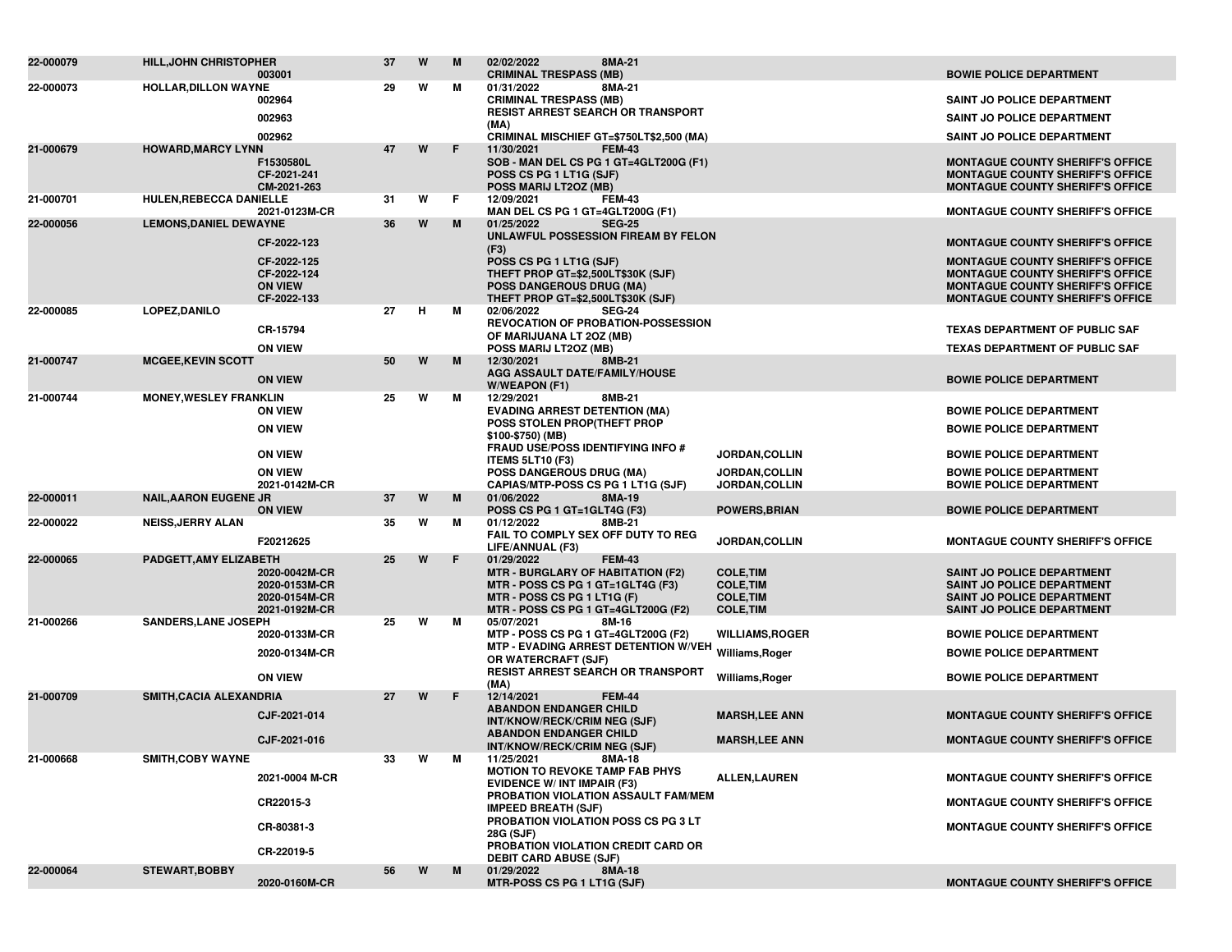| 22-000079 | <b>HILL, JOHN CHRISTOPHER</b> |                                | 37 | W | M  | 02/02/2022<br>8MA-21                                                          |                                      |                                                                                    |
|-----------|-------------------------------|--------------------------------|----|---|----|-------------------------------------------------------------------------------|--------------------------------------|------------------------------------------------------------------------------------|
| 22-000073 | <b>HOLLAR, DILLON WAYNE</b>   | 003001                         | 29 | W | м  | <b>CRIMINAL TRESPASS (MB)</b><br>8MA-21<br>01/31/2022                         |                                      | <b>BOWIE POLICE DEPARTMENT</b>                                                     |
|           |                               | 002964                         |    |   |    | <b>CRIMINAL TRESPASS (MB)</b>                                                 |                                      | SAINT JO POLICE DEPARTMENT                                                         |
|           |                               | 002963                         |    |   |    | <b>RESIST ARREST SEARCH OR TRANSPORT</b><br>(MA)                              |                                      | SAINT JO POLICE DEPARTMENT                                                         |
|           |                               | 002962                         |    |   |    | CRIMINAL MISCHIEF GT=\$750LT\$2,500 (MA)                                      |                                      | <b>SAINT JO POLICE DEPARTMENT</b>                                                  |
| 21-000679 | <b>HOWARD, MARCY LYNN</b>     | F1530580L                      | 47 | W | F. | 11/30/2021<br><b>FEM-43</b><br>SOB - MAN DEL CS PG 1 GT=4GLT200G (F1)         |                                      | <b>MONTAGUE COUNTY SHERIFF'S OFFICE</b>                                            |
|           |                               | CF-2021-241                    |    |   |    | POSS CS PG 1 LT1G (SJF)                                                       |                                      | <b>MONTAGUE COUNTY SHERIFF'S OFFICE</b>                                            |
|           |                               | CM-2021-263                    |    |   |    | POSS MARIJ LT2OZ (MB)                                                         |                                      | <b>MONTAGUE COUNTY SHERIFF'S OFFICE</b>                                            |
| 21-000701 | HULEN, REBECCA DANIELLE       | 2021-0123M-CR                  | 31 | W | F. | 12/09/2021<br><b>FEM-43</b><br>MAN DEL CS PG 1 GT=4GLT200G (F1)               |                                      | <b>MONTAGUE COUNTY SHERIFF'S OFFICE</b>                                            |
| 22-000056 | <b>LEMONS, DANIEL DEWAYNE</b> |                                | 36 | W | M  | <b>SEG-25</b><br>01/25/2022                                                   |                                      |                                                                                    |
|           |                               | CF-2022-123                    |    |   |    | UNLAWFUL POSSESSION FIREAM BY FELON                                           |                                      | <b>MONTAGUE COUNTY SHERIFF'S OFFICE</b>                                            |
|           |                               | CF-2022-125                    |    |   |    | (F3)<br>POSS CS PG 1 LT1G (SJF)                                               |                                      | <b>MONTAGUE COUNTY SHERIFF'S OFFICE</b>                                            |
|           |                               | CF-2022-124                    |    |   |    | THEFT PROP GT=\$2,500LT\$30K (SJF)                                            |                                      | <b>MONTAGUE COUNTY SHERIFF'S OFFICE</b>                                            |
|           |                               | <b>ON VIEW</b><br>CF-2022-133  |    |   |    | <b>POSS DANGEROUS DRUG (MA)</b><br>THEFT PROP GT=\$2,500LT\$30K (SJF)         |                                      | <b>MONTAGUE COUNTY SHERIFF'S OFFICE</b><br><b>MONTAGUE COUNTY SHERIFF'S OFFICE</b> |
| 22-000085 | LOPEZ, DANILO                 |                                | 27 | н | М  | 02/06/2022<br><b>SEG-24</b>                                                   |                                      |                                                                                    |
|           |                               | CR-15794                       |    |   |    | <b>REVOCATION OF PROBATION-POSSESSION</b><br>OF MARIJUANA LT 20Z (MB)         |                                      | <b>TEXAS DEPARTMENT OF PUBLIC SAF</b>                                              |
|           |                               | <b>ON VIEW</b>                 |    |   |    | POSS MARIJ LT20Z (MB)                                                         |                                      | <b>TEXAS DEPARTMENT OF PUBLIC SAF</b>                                              |
| 21-000747 | <b>MCGEE, KEVIN SCOTT</b>     |                                | 50 | W | M  | 12/30/2021<br>8MB-21<br>AGG ASSAULT DATE/FAMILY/HOUSE                         |                                      |                                                                                    |
|           |                               | <b>ON VIEW</b>                 |    |   |    | W/WEAPON (F1)                                                                 |                                      | <b>BOWIE POLICE DEPARTMENT</b>                                                     |
| 21-000744 | <b>MONEY, WESLEY FRANKLIN</b> |                                | 25 | W | м  | 12/29/2021<br>8MB-21                                                          |                                      |                                                                                    |
|           |                               | <b>ON VIEW</b>                 |    |   |    | <b>EVADING ARREST DETENTION (MA)</b><br>POSS STOLEN PROP(THEFT PROP           |                                      | <b>BOWIE POLICE DEPARTMENT</b>                                                     |
|           |                               | <b>ON VIEW</b>                 |    |   |    | \$100-\$750) (MB)                                                             |                                      | <b>BOWIE POLICE DEPARTMENT</b>                                                     |
|           |                               | <b>ON VIEW</b>                 |    |   |    | <b>FRAUD USE/POSS IDENTIFYING INFO #</b><br><b>ITEMS 5LT10 (F3)</b>           | <b>JORDAN,COLLIN</b>                 | <b>BOWIE POLICE DEPARTMENT</b>                                                     |
|           |                               | <b>ON VIEW</b>                 |    |   |    | <b>POSS DANGEROUS DRUG (MA)</b>                                               | <b>JORDAN,COLLIN</b>                 | <b>BOWIE POLICE DEPARTMENT</b>                                                     |
|           |                               | 2021-0142M-CR                  | 37 | W | M  | CAPIAS/MTP-POSS CS PG 1 LT1G (SJF)                                            | JORDAN, COLLIN                       | <b>BOWIE POLICE DEPARTMENT</b>                                                     |
| 22-000011 | <b>NAIL, AARON EUGENE JR</b>  | <b>ON VIEW</b>                 |    |   |    | 01/06/2022<br>8MA-19<br>POSS CS PG 1 GT=1GLT4G (F3)                           | <b>POWERS, BRIAN</b>                 | <b>BOWIE POLICE DEPARTMENT</b>                                                     |
| 22-000022 | <b>NEISS, JERRY ALAN</b>      |                                | 35 | W | м  | 01/12/2022<br>8MB-21                                                          |                                      |                                                                                    |
|           |                               | F20212625                      |    |   |    | FAIL TO COMPLY SEX OFF DUTY TO REG<br>LIFE/ANNUAL (F3)                        | JORDAN, COLLIN                       | <b>MONTAGUE COUNTY SHERIFF'S OFFICE</b>                                            |
| 22-000065 | PADGETT, AMY ELIZABETH        |                                | 25 | W | F. | 01/29/2022<br><b>FEM-43</b>                                                   |                                      |                                                                                    |
|           |                               | 2020-0042M-CR<br>2020-0153M-CR |    |   |    | <b>MTR - BURGLARY OF HABITATION (F2)</b><br>MTR - POSS CS PG 1 GT=1GLT4G (F3) | <b>COLE, TIM</b><br><b>COLE, TIM</b> | SAINT JO POLICE DEPARTMENT<br>SAINT JO POLICE DEPARTMENT                           |
|           |                               | 2020-0154M-CR                  |    |   |    | MTR - POSS CS PG 1 LT1G (F)                                                   | <b>COLE, TIM</b>                     | <b>SAINT JO POLICE DEPARTMENT</b>                                                  |
|           |                               | 2021-0192M-CR                  |    | W |    | MTR - POSS CS PG 1 GT=4GLT200G (F2)                                           | <b>COLE, TIM</b>                     | SAINT JO POLICE DEPARTMENT                                                         |
| 21-000266 | <b>SANDERS, LANE JOSEPH</b>   | 2020-0133M-CR                  | 25 |   | м  | 05/07/2021<br>8M-16<br>MTP - POSS CS PG 1 GT=4GLT200G (F2)                    | <b>WILLIAMS, ROGER</b>               | <b>BOWIE POLICE DEPARTMENT</b>                                                     |
|           |                               | 2020-0134M-CR                  |    |   |    | MTP - EVADING ARREST DETENTION W/VEH Williams, Roger                          |                                      | <b>BOWIE POLICE DEPARTMENT</b>                                                     |
|           |                               |                                |    |   |    | OR WATERCRAFT (SJF)<br><b>RESIST ARREST SEARCH OR TRANSPORT</b>               |                                      |                                                                                    |
|           |                               | <b>ON VIEW</b>                 |    |   |    | (MA)                                                                          | Williams, Roger                      | <b>BOWIE POLICE DEPARTMENT</b>                                                     |
| 21-000709 | SMITH, CACIA ALEXANDRIA       |                                | 27 | W | F. | 12/14/2021<br><b>FEM-44</b><br><b>ABANDON ENDANGER CHILD</b>                  |                                      |                                                                                    |
|           |                               | CJF-2021-014                   |    |   |    | INT/KNOW/RECK/CRIM NEG (SJF)                                                  | <b>MARSH,LEE ANN</b>                 | <b>MONTAGUE COUNTY SHERIFF'S OFFICE</b>                                            |
|           |                               | CJF-2021-016                   |    |   |    | <b>ABANDON ENDANGER CHILD</b><br>INT/KNOW/RECK/CRIM NEG (SJF)                 | <b>MARSH,LEE ANN</b>                 | <b>MONTAGUE COUNTY SHERIFF'S OFFICE</b>                                            |
| 21-000668 | <b>SMITH,COBY WAYNE</b>       |                                |    | W |    | 11/25/2021<br>8MA-18                                                          |                                      |                                                                                    |
|           |                               | 2021-0004 M-CR                 |    |   |    | <b>MOTION TO REVOKE TAMP FAB PHYS</b>                                         | <b>ALLEN,LAUREN</b>                  | <b>MONTAGUE COUNTY SHERIFF'S OFFICE</b>                                            |
|           |                               |                                |    |   |    | <b>EVIDENCE W/ INT IMPAIR (F3)</b><br>PROBATION VIOLATION ASSAULT FAM/MEM     |                                      |                                                                                    |
|           |                               | CR22015-3                      |    |   |    | <b>IMPEED BREATH (SJF)</b>                                                    |                                      | <b>MONTAGUE COUNTY SHERIFF'S OFFICE</b>                                            |
|           |                               | CR-80381-3                     |    |   |    | PROBATION VIOLATION POSS CS PG 3 LT<br>28G (SJF)                              |                                      | <b>MONTAGUE COUNTY SHERIFF'S OFFICE</b>                                            |
|           |                               | CR-22019-5                     |    |   |    | PROBATION VIOLATION CREDIT CARD OR                                            |                                      |                                                                                    |
| 22-000064 | <b>STEWART, BOBBY</b>         |                                | 56 | W | M  | <b>DEBIT CARD ABUSE (SJF)</b><br>01/29/2022<br>8MA-18                         |                                      |                                                                                    |
|           |                               | 2020-0160M-CR                  |    |   |    | MTR-POSS CS PG 1 LT1G (SJF)                                                   |                                      | <b>MONTAGUE COUNTY SHERIFF'S OFFICE</b>                                            |